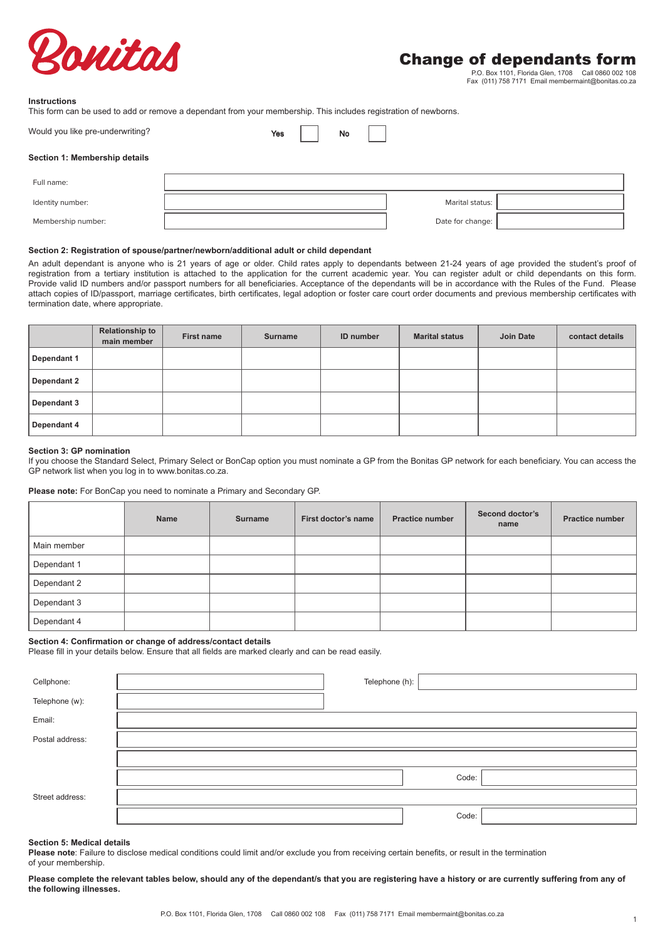

P.O. Box 1101, Florida Glen, 1708 Call 0860 002 108 Fax (011) 758 7171 Email membermaint@bonitas.co.za

## **Instructions**

This form can be used to add or remove a dependant from your membership. This includes registration of newborns.

| Would you like pre-underwriting? | Yes |
|----------------------------------|-----|
|                                  |     |

| No |  |
|----|--|

#### **Section 1: Membership details**

| Full name:         |                  |  |
|--------------------|------------------|--|
| Identity number:   | Marital status:  |  |
| Membership number: | Date for change: |  |

## **Section 2: Registration of spouse/partner/newborn/additional adult or child dependant**

An adult dependant is anyone who is 21 years of age or older. Child rates apply to dependants between 21-24 years of age provided the student's proof of registration from a tertiary institution is attached to the application for the current academic year. You can register adult or child dependants on this form. Provide valid ID numbers and/or passport numbers for all beneficiaries. Acceptance of the dependants will be in accordance with the Rules of the Fund. Please attach copies of ID/passport, marriage certificates, birth certificates, legal adoption or foster care court order documents and previous membership certificates with termination date, where appropriate.

|             | <b>Relationship to</b><br>main member | <b>First name</b> | <b>Surname</b> | <b>ID</b> number | <b>Marital status</b> | Join Date | contact details |
|-------------|---------------------------------------|-------------------|----------------|------------------|-----------------------|-----------|-----------------|
| Dependant 1 |                                       |                   |                |                  |                       |           |                 |
| Dependant 2 |                                       |                   |                |                  |                       |           |                 |
| Dependant 3 |                                       |                   |                |                  |                       |           |                 |
| Dependant 4 |                                       |                   |                |                  |                       |           |                 |

#### **Section 3: GP nomination**

If you choose the Standard Select, Primary Select or BonCap option you must nominate a GP from the Bonitas GP network for each beneficiary. You can access the GP network list when you log in to www.bonitas.co.za.

#### **Please note:** For BonCap you need to nominate a Primary and Secondary GP.

|             | Name | Surname | First doctor's name | <b>Practice number</b> | Second doctor's<br>name | <b>Practice number</b> |
|-------------|------|---------|---------------------|------------------------|-------------------------|------------------------|
| Main member |      |         |                     |                        |                         |                        |
| Dependant 1 |      |         |                     |                        |                         |                        |
| Dependant 2 |      |         |                     |                        |                         |                        |
| Dependant 3 |      |         |                     |                        |                         |                        |
| Dependant 4 |      |         |                     |                        |                         |                        |

#### **Section 4: Confirmation or change of address/contact details**

Please fill in your details below. Ensure that all fields are marked clearly and can be read easily.

| Cellphone:      | Telephone (h): |       |
|-----------------|----------------|-------|
| Telephone (w):  |                |       |
| Email:          |                |       |
| Postal address: |                |       |
|                 |                |       |
|                 |                | Code: |
| Street address: |                |       |
|                 |                | Code: |

### **Section 5: Medical details**

**Please note**: Failure to disclose medical conditions could limit and/or exclude you from receiving certain benefits, or result in the termination of your membership.

Please complete the relevant tables below, should any of the dependant/s that you are registering have a history or are currently suffering from any of **the following illnesses.**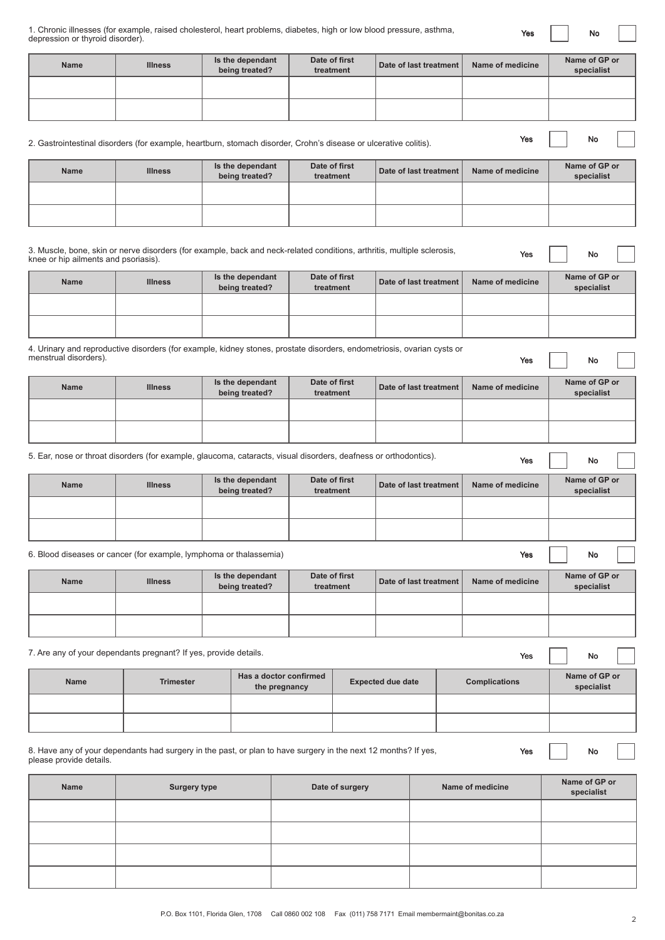| 1. Chronic illnesses (for example, raised cholesterol, heart problems, diabetes, high or low blood pressure, asthma, |  |  |  |  |  |
|----------------------------------------------------------------------------------------------------------------------|--|--|--|--|--|
| depression or thyroid disorder).                                                                                     |  |  |  |  |  |

Yes | | No

| <b>Name</b>                                                                                                                                                     | <b>Illness</b>      | Is the dependant<br>being treated?      | Date of first<br>treatment | Date of last treatment   |  | Name of medicine     |  | Name of GP or<br>specialist |  |
|-----------------------------------------------------------------------------------------------------------------------------------------------------------------|---------------------|-----------------------------------------|----------------------------|--------------------------|--|----------------------|--|-----------------------------|--|
|                                                                                                                                                                 |                     |                                         |                            |                          |  |                      |  |                             |  |
|                                                                                                                                                                 |                     |                                         |                            |                          |  |                      |  |                             |  |
| 2. Gastrointestinal disorders (for example, heartburn, stomach disorder, Crohn's disease or ulcerative colitis).                                                |                     |                                         |                            |                          |  | Yes                  |  | No                          |  |
| <b>Name</b>                                                                                                                                                     | <b>Illness</b>      | Is the dependant<br>being treated?      | Date of first<br>treatment | Date of last treatment   |  | Name of medicine     |  | Name of GP or<br>specialist |  |
|                                                                                                                                                                 |                     |                                         |                            |                          |  |                      |  |                             |  |
|                                                                                                                                                                 |                     |                                         |                            |                          |  |                      |  |                             |  |
| 3. Muscle, bone, skin or nerve disorders (for example, back and neck-related conditions, arthritis, multiple sclerosis,<br>knee or hip ailments and psoriasis). |                     |                                         |                            |                          |  | Yes                  |  | No                          |  |
| <b>Name</b>                                                                                                                                                     | <b>Illness</b>      | Is the dependant<br>being treated?      | Date of first<br>treatment | Date of last treatment   |  | Name of medicine     |  | Name of GP or<br>specialist |  |
|                                                                                                                                                                 |                     |                                         |                            |                          |  |                      |  |                             |  |
| 4. Urinary and reproductive disorders (for example, kidney stones, prostate disorders, endometriosis, ovarian cysts or                                          |                     |                                         |                            |                          |  |                      |  |                             |  |
| menstrual disorders).                                                                                                                                           |                     |                                         |                            |                          |  | Yes                  |  | No                          |  |
| <b>Name</b>                                                                                                                                                     | <b>Illness</b>      | Is the dependant<br>being treated?      | Date of first<br>treatment | Date of last treatment   |  | Name of medicine     |  | Name of GP or<br>specialist |  |
|                                                                                                                                                                 |                     |                                         |                            |                          |  |                      |  |                             |  |
| 5. Ear, nose or throat disorders (for example, glaucoma, cataracts, visual disorders, deafness or orthodontics).                                                |                     |                                         |                            |                          |  | Yes                  |  | No                          |  |
| <b>Name</b>                                                                                                                                                     | <b>Illness</b>      | Is the dependant<br>being treated?      | Date of first<br>treatment | Date of last treatment   |  | Name of medicine     |  | Name of GP or<br>specialist |  |
|                                                                                                                                                                 |                     |                                         |                            |                          |  |                      |  |                             |  |
|                                                                                                                                                                 |                     |                                         |                            |                          |  |                      |  |                             |  |
| 6. Blood diseases or cancer (for example, lymphoma or thalassemia)                                                                                              |                     |                                         |                            |                          |  | Yes                  |  | No                          |  |
| Name                                                                                                                                                            | <b>Illness</b>      | Is the dependant<br>being treated?      | Date of first<br>treatment | Date of last treatment   |  | Name of medicine     |  | Name of GP or<br>specialist |  |
|                                                                                                                                                                 |                     |                                         |                            |                          |  |                      |  |                             |  |
| 7. Are any of your dependants pregnant? If yes, provide details.                                                                                                |                     |                                         |                            |                          |  | Yes                  |  | No                          |  |
| Name                                                                                                                                                            | <b>Trimester</b>    | Has a doctor confirmed<br>the pregnancy |                            | <b>Expected due date</b> |  | <b>Complications</b> |  | Name of GP or<br>specialist |  |
|                                                                                                                                                                 |                     |                                         |                            |                          |  |                      |  |                             |  |
|                                                                                                                                                                 |                     |                                         |                            |                          |  |                      |  |                             |  |
| 8. Have any of your dependants had surgery in the past, or plan to have surgery in the next 12 months? If yes,<br>please provide details.                       |                     |                                         |                            |                          |  | Yes                  |  | No                          |  |
| Name                                                                                                                                                            | <b>Surgery type</b> |                                         | Date of surgery            |                          |  | Name of medicine     |  | Name of GP or<br>specialist |  |
|                                                                                                                                                                 |                     |                                         |                            |                          |  |                      |  |                             |  |
|                                                                                                                                                                 |                     |                                         |                            |                          |  |                      |  |                             |  |
|                                                                                                                                                                 |                     |                                         |                            |                          |  |                      |  |                             |  |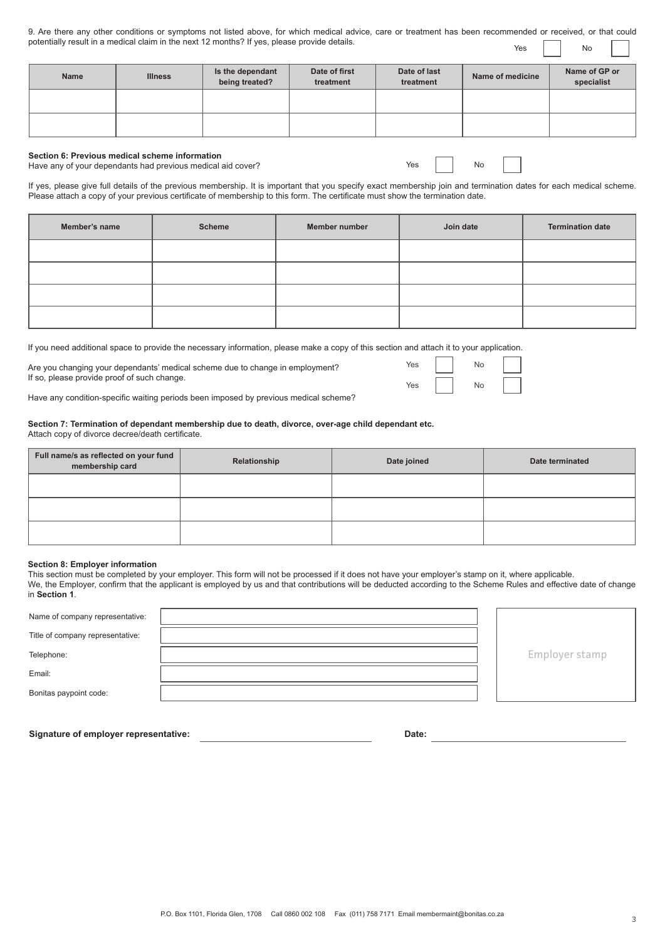| 9. Are there any other conditions or symptoms not listed above, for which medical advice, care or treatment has been recommended or received, or that could |  |  |  |                   |  |
|-------------------------------------------------------------------------------------------------------------------------------------------------------------|--|--|--|-------------------|--|
| potentially result in a medical claim in the next 12 months? If yes, please provide details.                                                                |  |  |  | $Yes \t No \t No$ |  |

| <b>Name</b> | <b>Illness</b> | Is the dependant<br>being treated? | Date of first<br>treatment | Date of last<br>treatment | Name of medicine | Name of GP or<br>specialist |
|-------------|----------------|------------------------------------|----------------------------|---------------------------|------------------|-----------------------------|
|             |                |                                    |                            |                           |                  |                             |
|             |                |                                    |                            |                           |                  |                             |

#### **Section 6: Previous medical scheme information**  Have any of your dependants had previous medical aid cover?

Yes No

Yes | No  $Yes$   $N_0$ 

If yes, please give full details of the previous membership. It is important that you specify exact membership join and termination dates for each medical scheme. Please attach a copy of your previous certificate of membership to this form. The certificate must show the termination date.

| Member's name | <b>Scheme</b> | Member number | Join date | <b>Termination date</b> |
|---------------|---------------|---------------|-----------|-------------------------|
|               |               |               |           |                         |
|               |               |               |           |                         |
|               |               |               |           |                         |
|               |               |               |           |                         |

If you need additional space to provide the necessary information, please make a copy of this section and attach it to your application.

Are you changing your dependants' medical scheme due to change in employment? If so, please provide proof of such change.

Have any condition-specific waiting periods been imposed by previous medical scheme?

# **Section 7: Termination of dependant membership due to death, divorce, over-age child dependant etc.** Attach copy of divorce decree/death certificate.

| Full name/s as reflected on your fund<br>membership card | Relationship | Date joined | Date terminated |  |  |
|----------------------------------------------------------|--------------|-------------|-----------------|--|--|
|                                                          |              |             |                 |  |  |
|                                                          |              |             |                 |  |  |
|                                                          |              |             |                 |  |  |

# **Section 8: Employer information**

This section must be completed by your employer. This form will not be processed if it does not have your employer's stamp on it, where applicable. We, the Employer, confirm that the applicant is employed by us and that contributions will be deducted according to the Scheme Rules and effective date of change in **Section 1**.

| Name of company representative:  |  |                |
|----------------------------------|--|----------------|
| Title of company representative: |  |                |
| Telephone:                       |  | Employer stamp |
| Email:                           |  |                |
| Bonitas paypoint code:           |  |                |
|                                  |  |                |

**Signature of employer representative: Date:**